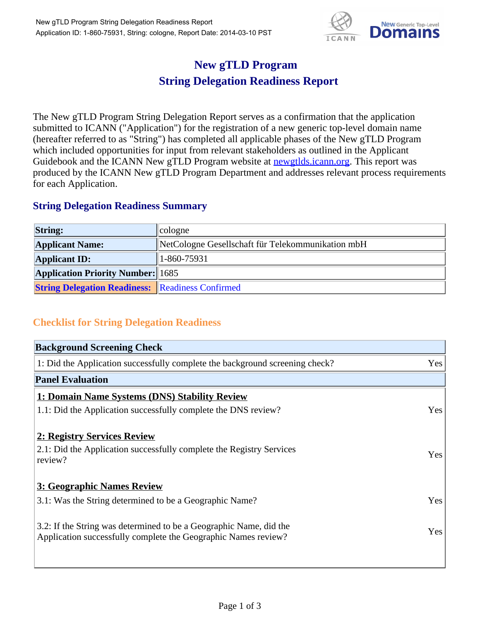

## **New gTLD Program String Delegation Readiness Report**

The New gTLD Program String Delegation Report serves as a confirmation that the application submitted to ICANN ("Application") for the registration of a new generic top-level domain name (hereafter referred to as "String") has completed all applicable phases of the New gTLD Program which included opportunities for input from relevant stakeholders as outlined in the Applicant Guidebook and the ICANN New gTLD Program website at newgtlds.icann.org. This report was produced by the ICANN New gTLD Program Department and addresses relevant process requirements for each Application.

## **String Delegation Readiness Summary**

| <b>String:</b>                                          | cologne                                           |
|---------------------------------------------------------|---------------------------------------------------|
| <b>Applicant Name:</b>                                  | NetCologne Gesellschaft für Telekommunikation mbH |
| <b>Applicant ID:</b>                                    | 1-860-75931                                       |
| <b>Application Priority Number:</b> 1685                |                                                   |
| <b>String Delegation Readiness:</b> Readiness Confirmed |                                                   |

## **Checklist for String Delegation Readiness**

| <b>Background Screening Check</b> |  |  |
|-----------------------------------|--|--|
| Yes                               |  |  |
|                                   |  |  |
|                                   |  |  |
| Yes                               |  |  |
|                                   |  |  |
| <b>Yes</b>                        |  |  |
|                                   |  |  |
| Yes                               |  |  |
| Yes                               |  |  |
|                                   |  |  |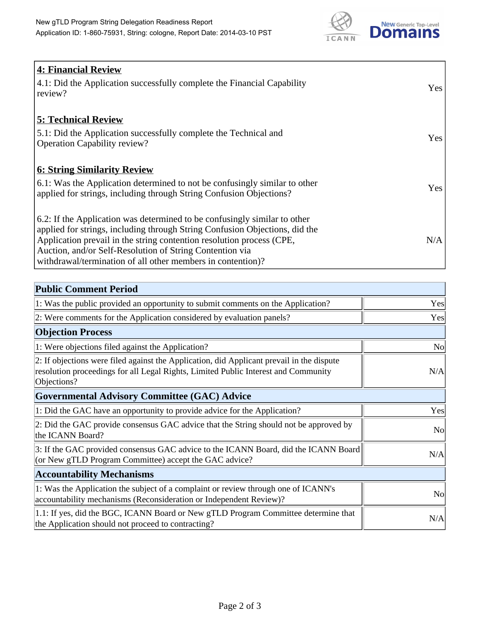

| 4: Financial Review                                                                |            |
|------------------------------------------------------------------------------------|------------|
| $\vert$ 4.1: Did the Application successfully complete the Financial Capability    | Yes        |
| review?                                                                            |            |
| <b>5: Technical Review</b>                                                         |            |
| 5.1: Did the Application successfully complete the Technical and                   | <b>Yes</b> |
| <b>Operation Capability review?</b>                                                |            |
|                                                                                    |            |
| <b>6: String Similarity Review</b>                                                 |            |
| $\vert$ 6.1: Was the Application determined to not be confusingly similar to other | Yes        |
| applied for strings, including through String Confusion Objections?                |            |
| 6.2: If the Application was determined to be confusingly similar to other          |            |
| applied for strings, including through String Confusion Objections, did the        |            |
| Application prevail in the string contention resolution process (CPE,              | N/A        |
| Auction, and/or Self-Resolution of String Contention via                           |            |
| withdrawal/termination of all other members in contention)?                        |            |

| <b>Public Comment Period</b>                                                                                                                                                                   |                |
|------------------------------------------------------------------------------------------------------------------------------------------------------------------------------------------------|----------------|
| 1: Was the public provided an opportunity to submit comments on the Application?                                                                                                               | Yes            |
| 2: Were comments for the Application considered by evaluation panels?                                                                                                                          | Yes            |
| <b>Objection Process</b>                                                                                                                                                                       |                |
| 1: Were objections filed against the Application?                                                                                                                                              | <b>No</b>      |
| 2: If objections were filed against the Application, did Applicant prevail in the dispute<br>resolution proceedings for all Legal Rights, Limited Public Interest and Community<br>Objections? | N/A            |
| Governmental Advisory Committee (GAC) Advice                                                                                                                                                   |                |
| 1: Did the GAC have an opportunity to provide advice for the Application?                                                                                                                      | Yes            |
| 2: Did the GAC provide consensus GAC advice that the String should not be approved by<br>the ICANN Board?                                                                                      | N <sub>o</sub> |
| 3: If the GAC provided consensus GAC advice to the ICANN Board, did the ICANN Board<br>(or New gTLD Program Committee) accept the GAC advice?                                                  | N/A            |
| <b>Accountability Mechanisms</b>                                                                                                                                                               |                |
| 1: Was the Application the subject of a complaint or review through one of ICANN's<br>accountability mechanisms (Reconsideration or Independent Review)?                                       | No             |
| 1.1: If yes, did the BGC, ICANN Board or New gTLD Program Committee determine that<br>the Application should not proceed to contracting?                                                       | N/A            |